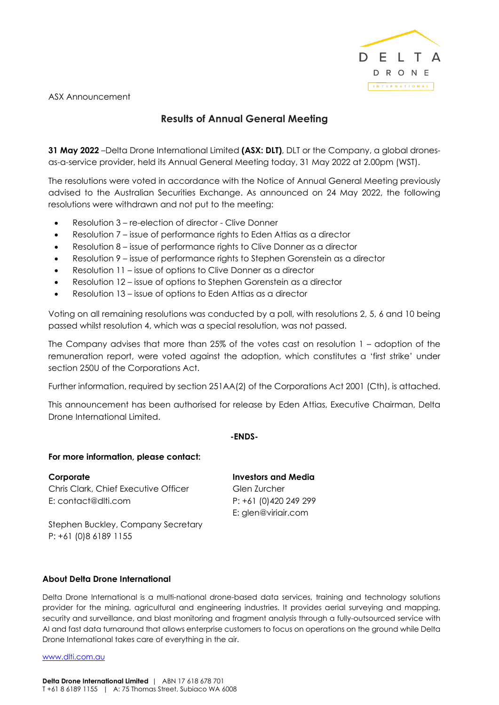

ASX Announcement

## **Results of Annual General Meeting**

**31 May 2022** –Delta Drone International Limited **(ASX: DLT)**, DLT or the Company, a global dronesas-a-service provider, held its Annual General Meeting today, 31 May 2022 at 2.00pm (WST).

The resolutions were voted in accordance with the Notice of Annual General Meeting previously advised to the Australian Securities Exchange. As announced on 24 May 2022, the following resolutions were withdrawn and not put to the meeting:

- Resolution 3 re-election of director Clive Donner
- Resolution 7 issue of performance rights to Eden Attias as a director
- Resolution 8 issue of performance rights to Clive Donner as a director
- Resolution 9 issue of performance rights to Stephen Gorenstein as a director
- Resolution 11 issue of options to Clive Donner as a director
- Resolution 12 issue of options to Stephen Gorenstein as a director
- Resolution 13 issue of options to Eden Attias as a director

Voting on all remaining resolutions was conducted by a poll, with resolutions 2, 5, 6 and 10 being passed whilst resolution 4, which was a special resolution, was not passed.

The Company advises that more than 25% of the votes cast on resolution 1 – adoption of the remuneration report, were voted against the adoption, which constitutes a 'first strike' under section 250U of the Corporations Act.

Further information, required by section 251AA(2) of the Corporations Act 2001 (Cth), is attached.

This announcement has been authorised for release by Eden Attias, Executive Chairman, Delta Drone International Limited.

#### **-ENDS-**

#### **For more information, please contact:**

**Corporate** Chris Clark, Chief Executive Officer E: contact@dlti.com

**Investors and Media** Glen Zurcher P: +61 (0)420 249 299 E: glen@viriair.com

Stephen Buckley, Company Secretary P: +61 (0)8 6189 1155

### **About Delta Drone International**

Delta Drone International is a multi-national drone-based data services, training and technology solutions provider for the mining, agricultural and engineering industries. It provides aerial surveying and mapping, security and surveillance, and blast monitoring and fragment analysis through a fully-outsourced service with AI and fast data turnaround that allows enterprise customers to focus on operations on the ground while Delta Drone International takes care of everything in the air.

www.dlti.com.au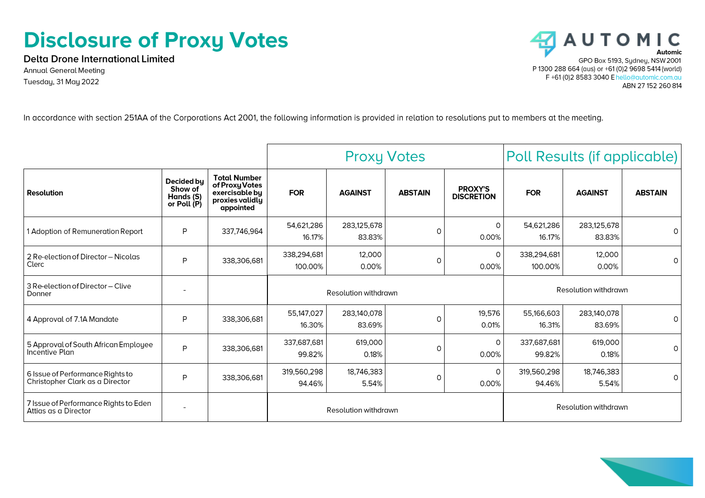# **Disclosure of Proxy Votes**

**Delta Drone International Limited Annual General Meeting** Tuesday, 31 May 2022



In accordance with section 251AA of the Corporations Act 2001, the following information is provided in relation to resolutions put to members at the meeting.

|                                                                     |                                                   |                                                                                         | <b>Proxy Votes</b>     |                       |                | Poll Results (if applicable)        |                        |                       |                |
|---------------------------------------------------------------------|---------------------------------------------------|-----------------------------------------------------------------------------------------|------------------------|-----------------------|----------------|-------------------------------------|------------------------|-----------------------|----------------|
| <b>Resolution</b>                                                   | Decided bu<br>Show of<br>Hands (S)<br>or Poll (P) | <b>Total Number</b><br>of Proxy Votes<br>exercisable by<br>proxies validly<br>appointed | <b>FOR</b>             | <b>AGAINST</b>        | <b>ABSTAIN</b> | <b>PROXY'S</b><br><b>DISCRETION</b> | <b>FOR</b>             | <b>AGAINST</b>        | <b>ABSTAIN</b> |
| 1 Adoption of Remuneration Report                                   | P                                                 | 337,746,964                                                                             | 54,621,286<br>16.17%   | 283,125,678<br>83.83% | $\circ$        | $\Omega$<br>0.00%                   | 54,621,286<br>16.17%   | 283,125,678<br>83.83% | $\Omega$       |
| 2 Re-election of Director - Nicolas<br>Clerc                        | P                                                 | 338,306,681                                                                             | 338,294,681<br>100.00% | 12,000<br>0.00%       | $\circ$        | O<br>0.00%                          | 338,294,681<br>100.00% | 12,000<br>0.00%       | $\Omega$       |
| 3 Re-election of Director - Clive<br>Donner                         | $\overline{\phantom{a}}$                          |                                                                                         | Resolution withdrawn   |                       |                | Resolution withdrawn                |                        |                       |                |
| 4 Approval of 7.1A Mandate                                          | P                                                 | 338,306,681                                                                             | 55,147,027<br>16.30%   | 283,140,078<br>83.69% | $\Omega$       | 19,576<br>0.01%                     | 55,166,603<br>16.31%   | 283,140,078<br>83.69% | $\Omega$       |
| 5 Approval of South African Employee<br>Incentive Plan              | P                                                 | 338,306,681                                                                             | 337,687,681<br>99.82%  | 619,000<br>0.18%      | $\circ$        | $\Omega$<br>0.00%                   | 337,687,681<br>99.82%  | 619,000<br>0.18%      | $\Omega$       |
| 6 Issue of Performance Rights to<br>Christopher Clark as a Director | P                                                 | 338,306,681                                                                             | 319,560,298<br>94.46%  | 18,746,383<br>5.54%   | $\circ$        | $\Omega$<br>0.00%                   | 319,560,298<br>94.46%  | 18,746,383<br>5.54%   | $\circ$        |
| 7 Issue of Performance Rights to Eden<br>Attias as a Director       | $\overline{\phantom{a}}$                          |                                                                                         | Resolution withdrawn   |                       |                | Resolution withdrawn                |                        |                       |                |